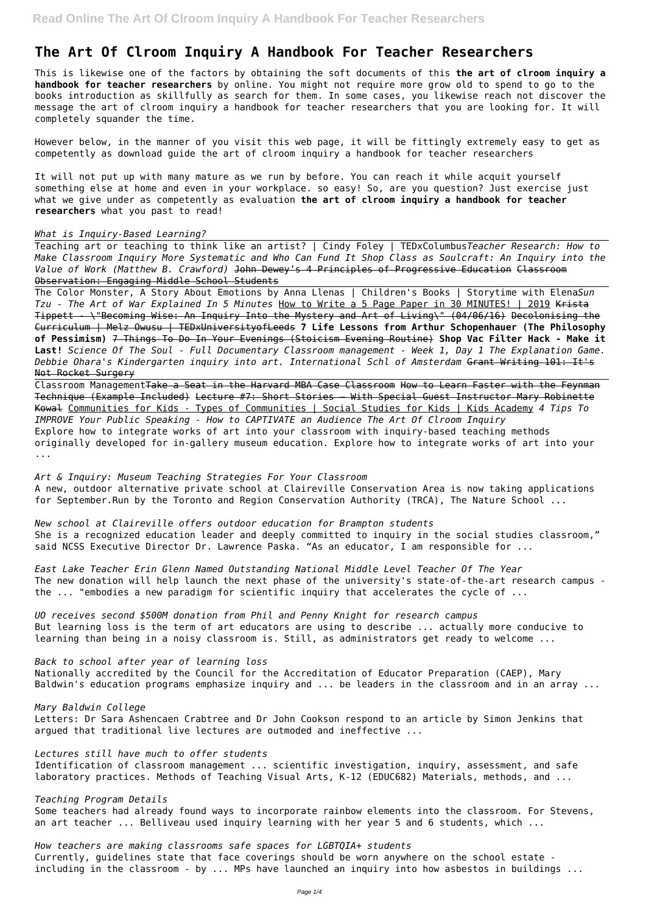# **The Art Of Clroom Inquiry A Handbook For Teacher Researchers**

This is likewise one of the factors by obtaining the soft documents of this **the art of clroom inquiry a handbook for teacher researchers** by online. You might not require more grow old to spend to go to the books introduction as skillfully as search for them. In some cases, you likewise reach not discover the message the art of clroom inquiry a handbook for teacher researchers that you are looking for. It will completely squander the time.

However below, in the manner of you visit this web page, it will be fittingly extremely easy to get as competently as download guide the art of clroom inquiry a handbook for teacher researchers

It will not put up with many mature as we run by before. You can reach it while acquit yourself something else at home and even in your workplace. so easy! So, are you question? Just exercise just what we give under as competently as evaluation **the art of clroom inquiry a handbook for teacher researchers** what you past to read!

#### *What is Inquiry-Based Learning?*

Teaching art or teaching to think like an artist? | Cindy Foley | TEDxColumbus*Teacher Research: How to Make Classroom Inquiry More Systematic and Who Can Fund It Shop Class as Soulcraft: An Inquiry into the Value of Work (Matthew B. Crawford)* John Dewey's 4 Principles of Progressive Education Classroom Observation: Engaging Middle School Students

Classroom Management<del>Take a Seat in the Harvard MBA Case Classroom How to Learn Faster with the Feynman</del> Technique (Example Included) Lecture #7: Short Stories — With Special Guest Instructor Mary Robinette Kowal Communities for Kids - Types of Communities | Social Studies for Kids | Kids Academy *4 Tips To IMPROVE Your Public Speaking - How to CAPTIVATE an Audience The Art Of Clroom Inquiry* Explore how to integrate works of art into your classroom with inquiry-based teaching methods originally developed for in-gallery museum education. Explore how to integrate works of art into your ...

*New school at Claireville offers outdoor education for Brampton students* She is a recognized education leader and deeply committed to inquiry in the social studies classroom," said NCSS Executive Director Dr. Lawrence Paska. "As an educator, I am responsible for ...

The Color Monster, A Story About Emotions by Anna Llenas | Children's Books | Storytime with Elena*Sun Tzu - The Art of War Explained In 5 Minutes* How to Write a 5 Page Paper in 30 MINUTES! | 2019 Krista Tippett - \"Becoming Wise: An Inquiry Into the Mystery and Art of Living\" (04/06/16) Decolonising the Curriculum | Melz Owusu | TEDxUniversityofLeeds **7 Life Lessons from Arthur Schopenhauer (The Philosophy of Pessimism)** 7 Things To Do In Your Evenings (Stoicism Evening Routine) **Shop Vac Filter Hack - Make it Last!** *Science Of The Soul - Full Documentary Classroom management - Week 1, Day 1 The Explanation Game. Debbie Ohara's Kindergarten inquiry into art. International Schl of Amsterdam* Grant Writing 101: It's Not Rocket Surgery

*How teachers are making classrooms safe spaces for LGBTQIA+ students* Currently, guidelines state that face coverings should be worn anywhere on the school estate including in the classroom - by ... MPs have launched an inquiry into how asbestos in buildings ...

*Art & Inquiry: Museum Teaching Strategies For Your Classroom* A new, outdoor alternative private school at Claireville Conservation Area is now taking applications for September.Run by the Toronto and Region Conservation Authority (TRCA), The Nature School ...

*East Lake Teacher Erin Glenn Named Outstanding National Middle Level Teacher Of The Year* The new donation will help launch the next phase of the university's state-of-the-art research campus the ... "embodies a new paradigm for scientific inquiry that accelerates the cycle of ...

*UO receives second \$500M donation from Phil and Penny Knight for research campus* But learning loss is the term of art educators are using to describe ... actually more conducive to learning than being in a noisy classroom is. Still, as administrators get ready to welcome ...

### *Back to school after year of learning loss*

Nationally accredited by the Council for the Accreditation of Educator Preparation (CAEP), Mary Baldwin's education programs emphasize inquiry and ... be leaders in the classroom and in an array ...

*Mary Baldwin College* Letters: Dr Sara Ashencaen Crabtree and Dr John Cookson respond to an article by Simon Jenkins that argued that traditional live lectures are outmoded and ineffective ...

### *Lectures still have much to offer students*

Identification of classroom management ... scientific investigation, inquiry, assessment, and safe laboratory practices. Methods of Teaching Visual Arts, K-12 (EDUC682) Materials, methods, and ...

#### *Teaching Program Details*

Some teachers had already found ways to incorporate rainbow elements into the classroom. For Stevens, an art teacher ... Belliveau used inquiry learning with her year 5 and 6 students, which ...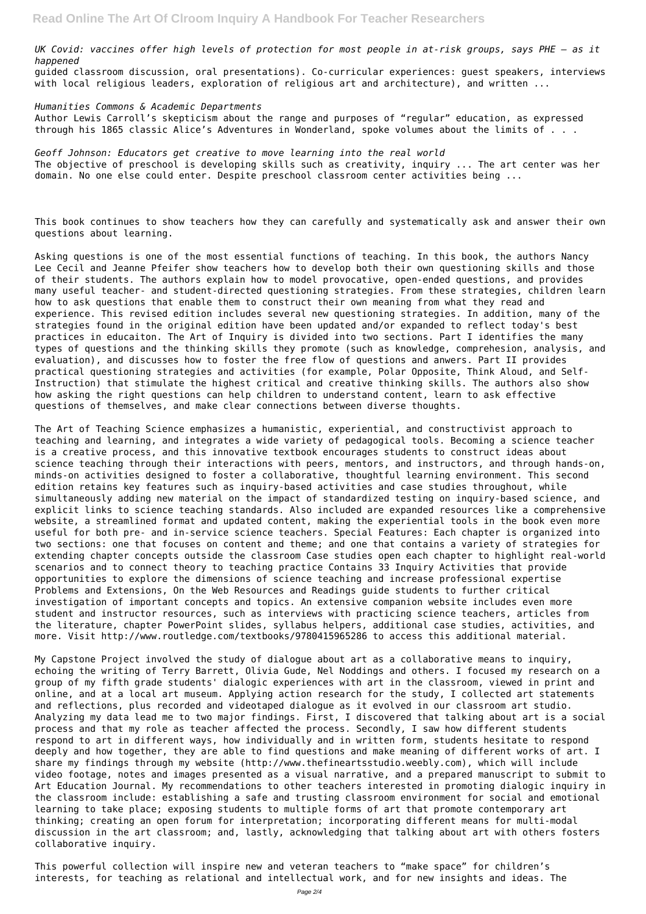*UK Covid: vaccines offer high levels of protection for most people in at-risk groups, says PHE – as it happened* guided classroom discussion, oral presentations). Co-curricular experiences: guest speakers, interviews with local religious leaders, exploration of religious art and architecture), and written ...

*Humanities Commons & Academic Departments* Author Lewis Carroll's skepticism about the range and purposes of "regular" education, as expressed through his 1865 classic Alice's Adventures in Wonderland, spoke volumes about the limits of . . .

*Geoff Johnson: Educators get creative to move learning into the real world* The objective of preschool is developing skills such as creativity, inquiry ... The art center was her domain. No one else could enter. Despite preschool classroom center activities being ...

This book continues to show teachers how they can carefully and systematically ask and answer their own questions about learning.

Asking questions is one of the most essential functions of teaching. In this book, the authors Nancy Lee Cecil and Jeanne Pfeifer show teachers how to develop both their own questioning skills and those of their students. The authors explain how to model provocative, open-ended questions, and provides many useful teacher- and student-directed questioning strategies. From these strategies, children learn how to ask questions that enable them to construct their own meaning from what they read and experience. This revised edition includes several new questioning strategies. In addition, many of the strategies found in the original edition have been updated and/or expanded to reflect today's best practices in educaiton. The Art of Inquiry is divided into two sections. Part I identifies the many types of questions and the thinking skills they promote (such as knowledge, comprehesion, analysis, and evaluation), and discusses how to foster the free flow of questions and anwers. Part II provides practical questioning strategies and activities (for example, Polar Opposite, Think Aloud, and Self-Instruction) that stimulate the highest critical and creative thinking skills. The authors also show how asking the right questions can help children to understand content, learn to ask effective questions of themselves, and make clear connections between diverse thoughts.

The Art of Teaching Science emphasizes a humanistic, experiential, and constructivist approach to teaching and learning, and integrates a wide variety of pedagogical tools. Becoming a science teacher is a creative process, and this innovative textbook encourages students to construct ideas about science teaching through their interactions with peers, mentors, and instructors, and through hands-on, minds-on activities designed to foster a collaborative, thoughtful learning environment. This second edition retains key features such as inquiry-based activities and case studies throughout, while simultaneously adding new material on the impact of standardized testing on inquiry-based science, and explicit links to science teaching standards. Also included are expanded resources like a comprehensive website, a streamlined format and updated content, making the experiential tools in the book even more useful for both pre- and in-service science teachers. Special Features: Each chapter is organized into two sections: one that focuses on content and theme; and one that contains a variety of strategies for extending chapter concepts outside the classroom Case studies open each chapter to highlight real-world scenarios and to connect theory to teaching practice Contains 33 Inquiry Activities that provide opportunities to explore the dimensions of science teaching and increase professional expertise Problems and Extensions, On the Web Resources and Readings guide students to further critical investigation of important concepts and topics. An extensive companion website includes even more student and instructor resources, such as interviews with practicing science teachers, articles from the literature, chapter PowerPoint slides, syllabus helpers, additional case studies, activities, and more. Visit http://www.routledge.com/textbooks/9780415965286 to access this additional material.

My Capstone Project involved the study of dialogue about art as a collaborative means to inquiry, echoing the writing of Terry Barrett, Olivia Gude, Nel Noddings and others. I focused my research on a group of my fifth grade students' dialogic experiences with art in the classroom, viewed in print and

online, and at a local art museum. Applying action research for the study, I collected art statements and reflections, plus recorded and videotaped dialogue as it evolved in our classroom art studio. Analyzing my data lead me to two major findings. First, I discovered that talking about art is a social process and that my role as teacher affected the process. Secondly, I saw how different students respond to art in different ways, how individually and in written form, students hesitate to respond deeply and how together, they are able to find questions and make meaning of different works of art. I share my findings through my website (http://www.thefineartsstudio.weebly.com), which will include video footage, notes and images presented as a visual narrative, and a prepared manuscript to submit to Art Education Journal. My recommendations to other teachers interested in promoting dialogic inquiry in the classroom include: establishing a safe and trusting classroom environment for social and emotional learning to take place; exposing students to multiple forms of art that promote contemporary art thinking; creating an open forum for interpretation; incorporating different means for multi-modal discussion in the art classroom; and, lastly, acknowledging that talking about art with others fosters collaborative inquiry.

This powerful collection will inspire new and veteran teachers to "make space" for children's interests, for teaching as relational and intellectual work, and for new insights and ideas. The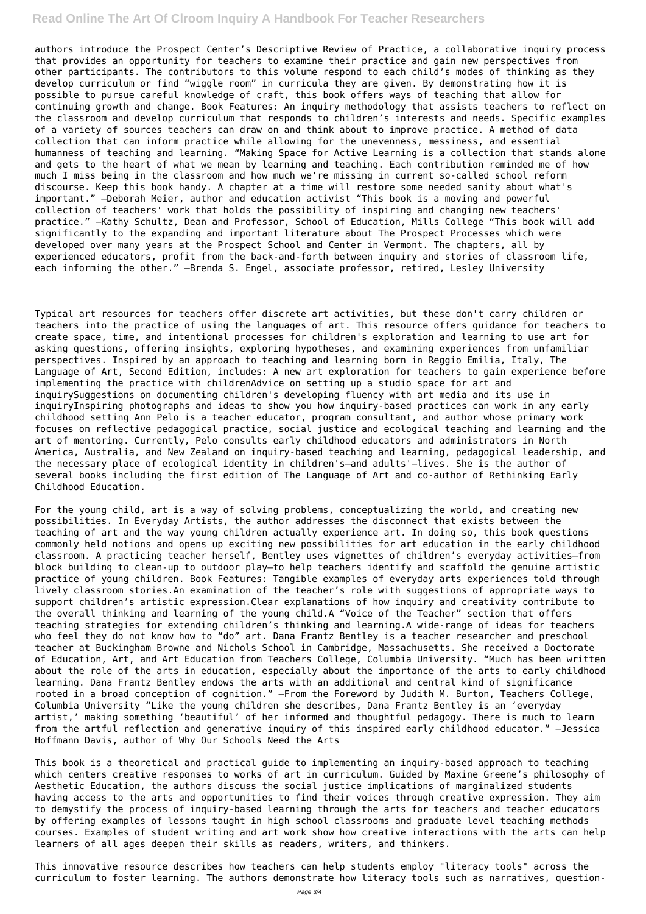### **Read Online The Art Of Clroom Inquiry A Handbook For Teacher Researchers**

authors introduce the Prospect Center's Descriptive Review of Practice, a collaborative inquiry process that provides an opportunity for teachers to examine their practice and gain new perspectives from other participants. The contributors to this volume respond to each child's modes of thinking as they develop curriculum or find "wiggle room" in curricula they are given. By demonstrating how it is possible to pursue careful knowledge of craft, this book offers ways of teaching that allow for continuing growth and change. Book Features: An inquiry methodology that assists teachers to reflect on the classroom and develop curriculum that responds to children's interests and needs. Specific examples of a variety of sources teachers can draw on and think about to improve practice. A method of data collection that can inform practice while allowing for the unevenness, messiness, and essential humanness of teaching and learning. "Making Space for Active Learning is a collection that stands alone and gets to the heart of what we mean by learning and teaching. Each contribution reminded me of how much I miss being in the classroom and how much we're missing in current so-called school reform discourse. Keep this book handy. A chapter at a time will restore some needed sanity about what's important." —Deborah Meier, author and education activist "This book is a moving and powerful collection of teachers' work that holds the possibility of inspiring and changing new teachers' practice." —Kathy Schultz, Dean and Professor, School of Education, Mills College "This book will add significantly to the expanding and important literature about The Prospect Processes which were developed over many years at the Prospect School and Center in Vermont. The chapters, all by experienced educators, profit from the back-and-forth between inquiry and stories of classroom life, each informing the other." —Brenda S. Engel, associate professor, retired, Lesley University

Typical art resources for teachers offer discrete art activities, but these don't carry children or teachers into the practice of using the languages of art. This resource offers guidance for teachers to create space, time, and intentional processes for children's exploration and learning to use art for asking questions, offering insights, exploring hypotheses, and examining experiences from unfamiliar perspectives. Inspired by an approach to teaching and learning born in Reggio Emilia, Italy, The Language of Art, Second Edition, includes: A new art exploration for teachers to gain experience before implementing the practice with childrenAdvice on setting up a studio space for art and inquirySuggestions on documenting children's developing fluency with art media and its use in inquiryInspiring photographs and ideas to show you how inquiry-based practices can work in any early childhood setting Ann Pelo is a teacher educator, program consultant, and author whose primary work focuses on reflective pedagogical practice, social justice and ecological teaching and learning and the art of mentoring. Currently, Pelo consults early childhood educators and administrators in North America, Australia, and New Zealand on inquiry-based teaching and learning, pedagogical leadership, and the necessary place of ecological identity in children's—and adults'—lives. She is the author of several books including the first edition of The Language of Art and co-author of Rethinking Early Childhood Education.

For the young child, art is a way of solving problems, conceptualizing the world, and creating new possibilities. In Everyday Artists, the author addresses the disconnect that exists between the teaching of art and the way young children actually experience art. In doing so, this book questions commonly held notions and opens up exciting new possibilities for art education in the early childhood classroom. A practicing teacher herself, Bentley uses vignettes of children's everyday activities—from block building to clean-up to outdoor play—to help teachers identify and scaffold the genuine artistic practice of young children. Book Features: Tangible examples of everyday arts experiences told through lively classroom stories.An examination of the teacher's role with suggestions of appropriate ways to support children's artistic expression.Clear explanations of how inquiry and creativity contribute to the overall thinking and learning of the young child.A "Voice of the Teacher" section that offers teaching strategies for extending children's thinking and learning.A wide-range of ideas for teachers who feel they do not know how to "do" art. Dana Frantz Bentley is a teacher researcher and preschool teacher at Buckingham Browne and Nichols School in Cambridge, Massachusetts. She received a Doctorate of Education, Art, and Art Education from Teachers College, Columbia University. "Much has been written about the role of the arts in education, especially about the importance of the arts to early childhood learning. Dana Frantz Bentley endows the arts with an additional and central kind of significance rooted in a broad conception of cognition." —From the Foreword by Judith M. Burton, Teachers College, Columbia University "Like the young children she describes, Dana Frantz Bentley is an 'everyday artist,' making something 'beautiful' of her informed and thoughtful pedagogy. There is much to learn from the artful reflection and generative inquiry of this inspired early childhood educator." —Jessica Hoffmann Davis, author of Why Our Schools Need the Arts

This book is a theoretical and practical guide to implementing an inquiry-based approach to teaching which centers creative responses to works of art in curriculum. Guided by Maxine Greene's philosophy of Aesthetic Education, the authors discuss the social justice implications of marginalized students having access to the arts and opportunities to find their voices through creative expression. They aim to demystify the process of inquiry-based learning through the arts for teachers and teacher educators by offering examples of lessons taught in high school classrooms and graduate level teaching methods courses. Examples of student writing and art work show how creative interactions with the arts can help learners of all ages deepen their skills as readers, writers, and thinkers.

This innovative resource describes how teachers can help students employ "literacy tools" across the curriculum to foster learning. The authors demonstrate how literacy tools such as narratives, question-